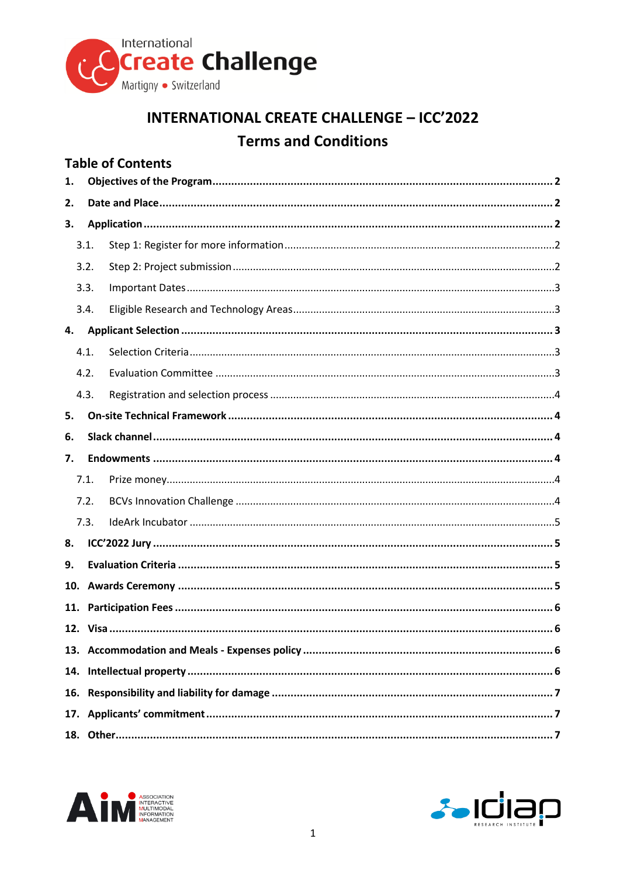

# **INTERNATIONAL CREATE CHALLENGE - ICC'2022 Terms and Conditions**

| <b>Table of Contents</b> |      |  |  |
|--------------------------|------|--|--|
| 1.                       |      |  |  |
| 2.                       |      |  |  |
| 3.                       |      |  |  |
|                          | 3.1. |  |  |
|                          | 3.2. |  |  |
|                          | 3.3. |  |  |
|                          | 3.4. |  |  |
| 4.                       |      |  |  |
|                          | 4.1. |  |  |
|                          | 4.2. |  |  |
|                          | 4.3. |  |  |
| 5.                       |      |  |  |
| 6.                       |      |  |  |
| 7.                       |      |  |  |
|                          | 7.1. |  |  |
|                          | 7.2. |  |  |
|                          | 7.3. |  |  |
| 8.                       |      |  |  |
| 9.                       |      |  |  |
| 10.                      |      |  |  |
| 11.                      |      |  |  |
|                          |      |  |  |
|                          |      |  |  |
|                          |      |  |  |
|                          |      |  |  |
|                          |      |  |  |
|                          |      |  |  |



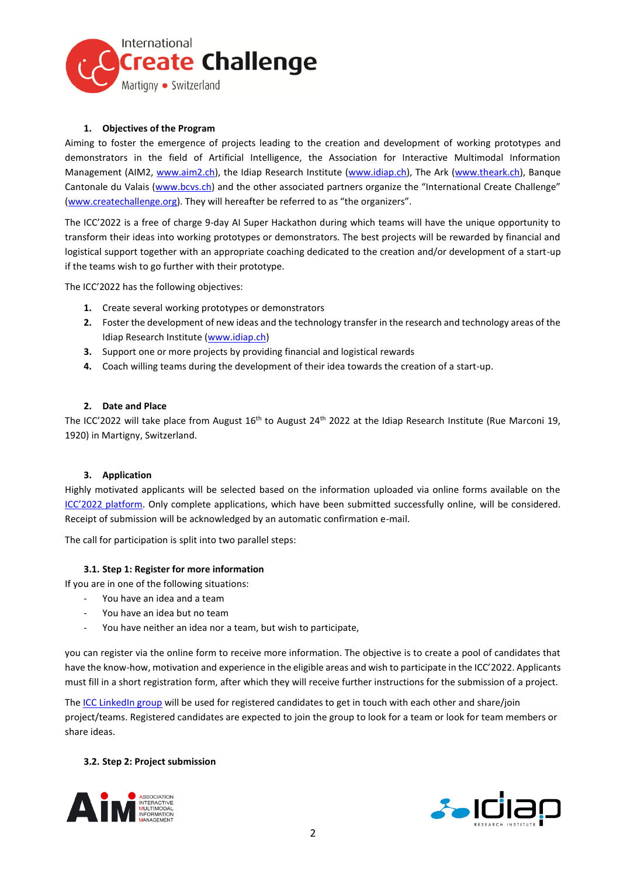

## <span id="page-1-0"></span>**1. Objectives of the Program**

Aiming to foster the emergence of projects leading to the creation and development of working prototypes and demonstrators in the field of Artificial Intelligence, the Association for Interactive Multimodal Information Management (AIM2, [www.aim2.ch\)](http://www.aim2.ch/), the Idiap Research Institute [\(www.idiap.ch\)](https://www.idiap.ch/), The Ark [\(www.theark.ch\)](https://www.theark.ch/), Banque Cantonale du Valais [\(www.bcvs.ch\)](https://www.bcvs.ch/) and the other associated partners organize the "International Create Challenge" [\(www.createchallenge.org](https://www.createchallenge.org/)). They will hereafter be referred to as "the organizers".

The ICC'2022 is a free of charge 9-day AI Super Hackathon during which teams will have the unique opportunity to transform their ideas into working prototypes or demonstrators. The best projects will be rewarded by financial and logistical support together with an appropriate coaching dedicated to the creation and/or development of a start-up if the teams wish to go further with their prototype.

The ICC'2022 has the following objectives:

- **1.** Create several working prototypes or demonstrators
- **2.** Foster the development of new ideas and the technology transfer in the research and technology areas of the Idiap Research Institute [\(www.idiap.ch\)](https://www.idiap.ch/)
- **3.** Support one or more projects by providing financial and logistical rewards
- **4.** Coach willing teams during the development of their idea towards the creation of a start-up.

## <span id="page-1-1"></span>**2. Date and Place**

The ICC'2022 will take place from August  $16^{th}$  to August 24<sup>th</sup> 2022 at the Idiap Research Institute (Rue Marconi 19, 1920) in Martigny, Switzerland.

## <span id="page-1-2"></span>**3. Application**

Highly motivated applicants will be selected based on the information uploaded via online forms available on the ICC'2022 [platform.](https://www.createchallenge.org/) Only complete applications, which have been submitted successfully online, will be considered. Receipt of submission will be acknowledged by an automatic confirmation e-mail.

The call for participation is split into two parallel steps:

# **3.1. Step 1: Register for more information**

<span id="page-1-3"></span>If you are in one of the following situations:

- You have an idea and a team
- You have an idea but no team
- You have neither an idea nor a team, but wish to participate,

you can register via the online form to receive more information. The objective is to create a pool of candidates that have the know-how, motivation and experience in the eligible areas and wish to participate in the ICC'2022. Applicants must fill in a short registration form, after which they will receive further instructions for the submission of a project.

Th[e ICC LinkedIn group](https://www.linkedin.com/groups/4386640) will be used for registered candidates to get in touch with each other and share/join project/teams. Registered candidates are expected to join the group to look for a team or look for team members or share ideas.

# <span id="page-1-4"></span>**3.2. Step 2: Project submission**



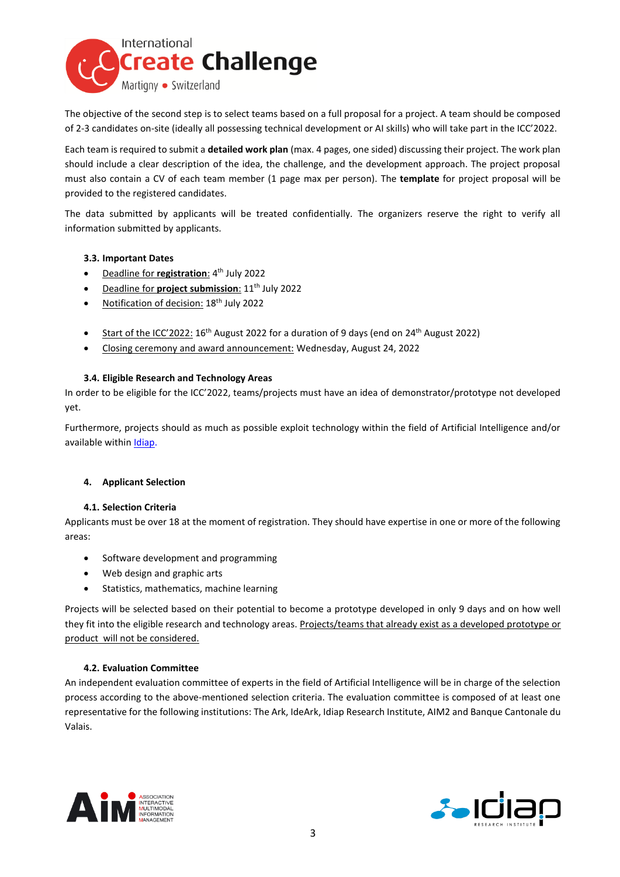

The objective of the second step is to select teams based on a full proposal for a project. A team should be composed of 2-3 candidates on-site (ideally all possessing technical development or AI skills) who will take part in the ICC'2022.

Each team is required to submit a **detailed work plan** (max. 4 pages, one sided) discussing their project. The work plan should include a clear description of the idea, the challenge, and the development approach. The project proposal must also contain a CV of each team member (1 page max per person). The **template** for project proposal will be provided to the registered candidates.

The data submitted by applicants will be treated confidentially. The organizers reserve the right to verify all information submitted by applicants.

## <span id="page-2-0"></span>**3.3. Important Dates**

- **•** Deadline for **registration**: 4<sup>th</sup> July 2022
- **•** Deadline for **project submission**: 11<sup>th</sup> July 2022
- Notification of decision: 18th July 2022
- Start of the ICC'2022: 16<sup>th</sup> August 2022 for a duration of 9 days (end on 24<sup>th</sup> August 2022)
- Closing ceremony and award announcement: Wednesday, August 24, 2022

## **3.4. Eligible Research and Technology Areas**

<span id="page-2-1"></span>In order to be eligible for the ICC'2022, teams/projects must have an idea of demonstrator/prototype not developed yet.

Furthermore, projects should as much as possible exploit technology within the field of Artificial Intelligence and/or available withi[n Idiap.](https://www.idiap.ch/en/scientific-research)

#### <span id="page-2-2"></span>**4. Applicant Selection**

#### <span id="page-2-3"></span>**4.1. Selection Criteria**

Applicants must be over 18 at the moment of registration. They should have expertise in one or more of the following areas:

- Software development and programming
- Web design and graphic arts
- **•** Statistics, mathematics, machine learning

Projects will be selected based on their potential to become a prototype developed in only 9 days and on how well they fit into the eligible research and technology areas. Projects/teams that already exist as a developed prototype or product will not be considered.

## **4.2. Evaluation Committee**

<span id="page-2-4"></span>An independent evaluation committee of experts in the field of Artificial Intelligence will be in charge of the selection process according to the above-mentioned selection criteria. The evaluation committee is composed of at least one representative for the following institutions: The Ark, IdeArk, Idiap Research Institute, AIM2 and Banque Cantonale du Valais.



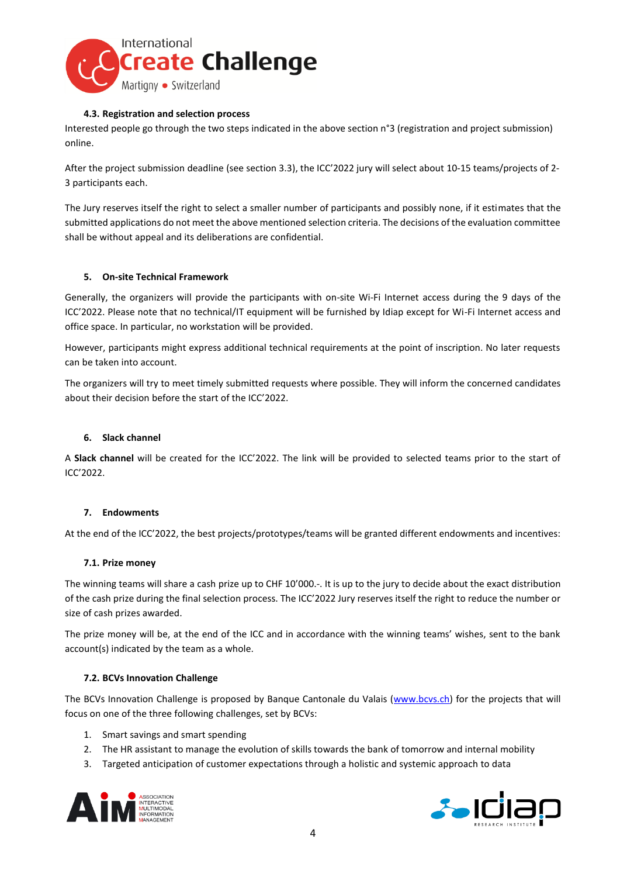

## **4.3. Registration and selection process**

<span id="page-3-0"></span>Interested people go through the two steps indicated in the above section n°3 (registration and project submission) online.

After the project submission deadline (see section 3.3), the ICC'2022 jury will select about 10-15 teams/projects of 2- 3 participants each.

The Jury reserves itself the right to select a smaller number of participants and possibly none, if it estimates that the submitted applications do not meet the above mentioned selection criteria. The decisions of the evaluation committee shall be without appeal and its deliberations are confidential.

## <span id="page-3-1"></span>**5. On-site Technical Framework**

Generally, the organizers will provide the participants with on-site Wi-Fi Internet access during the 9 days of the ICC'2022. Please note that no technical/IT equipment will be furnished by Idiap except for Wi-Fi Internet access and office space. In particular, no workstation will be provided.

However, participants might express additional technical requirements at the point of inscription. No later requests can be taken into account.

The organizers will try to meet timely submitted requests where possible. They will inform the concerned candidates about their decision before the start of the ICC'2022.

#### <span id="page-3-2"></span>**6. Slack channel**

A **Slack channel** will be created for the ICC'2022. The link will be provided to selected teams prior to the start of ICC'2022.

#### <span id="page-3-3"></span>**7. Endowments**

At the end of the ICC'2022, the best projects/prototypes/teams will be granted different endowments and incentives:

#### <span id="page-3-4"></span>**7.1. Prize money**

The winning teams will share a cash prize up to CHF 10'000.-. It is up to the jury to decide about the exact distribution of the cash prize during the final selection process. The ICC'2022 Jury reserves itself the right to reduce the number or size of cash prizes awarded.

The prize money will be, at the end of the ICC and in accordance with the winning teams' wishes, sent to the bank account(s) indicated by the team as a whole.

#### <span id="page-3-5"></span>**7.2. BCVs Innovation Challenge**

The BCVs Innovation Challenge is proposed by Banque Cantonale du Valais [\(www.bcvs.ch\)](https://www.bcvs.ch/) for the projects that will focus on one of the three following challenges, set by BCVs:

- 1. Smart savings and smart spending
- 2. The HR assistant to manage the evolution of skills towards the bank of tomorrow and internal mobility
- 3. Targeted anticipation of customer expectations through a holistic and systemic approach to data



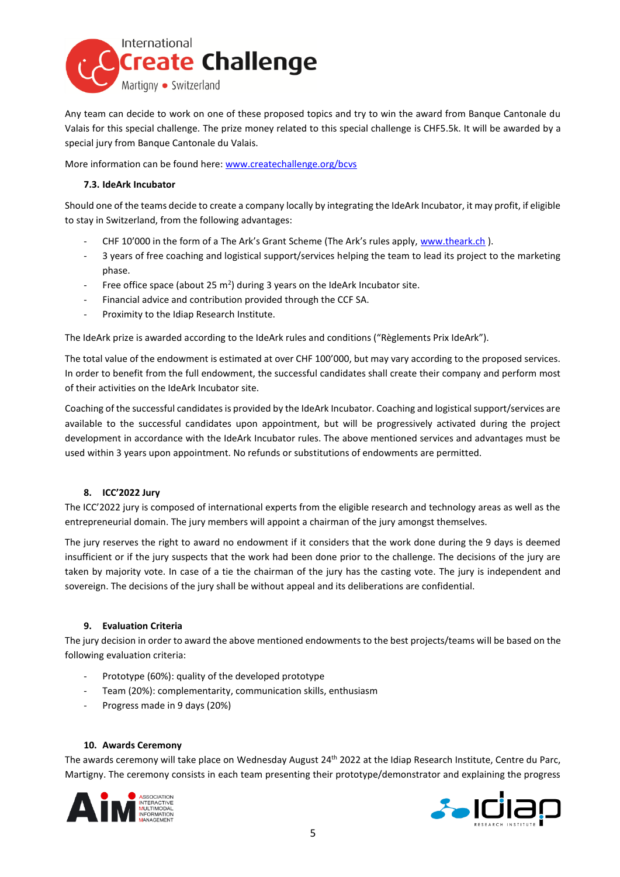

Any team can decide to work on one of these proposed topics and try to win the award from Banque Cantonale du Valais for this special challenge. The prize money related to this special challenge is CHF5.5k. It will be awarded by a special jury from Banque Cantonale du Valais.

More information can be found here: [www.createchallenge.org/bcvs](https://www.createchallenge.org/bcvs)

## <span id="page-4-0"></span>**7.3. IdeArk Incubator**

Should one of the teams decide to create a company locally by integrating the IdeArk Incubator, it may profit, if eligible to stay in Switzerland, from the following advantages:

- CHF 10'000 in the form of a The Ark's Grant Scheme (The Ark's rules apply, [www.theark.ch](https://www.theark.ch/)).
- 3 years of free coaching and logistical support/services helping the team to lead its project to the marketing phase.
- Free office space (about 25 m<sup>2</sup>) during 3 years on the IdeArk Incubator site.
- Financial advice and contribution provided through the CCF SA.
- Proximity to the Idiap Research Institute.

The IdeArk prize is awarded according to the IdeArk rules and conditions ("Règlements Prix IdeArk").

The total value of the endowment is estimated at over CHF 100'000, but may vary according to the proposed services. In order to benefit from the full endowment, the successful candidates shall create their company and perform most of their activities on the IdeArk Incubator site.

Coaching of the successful candidates is provided by the IdeArk Incubator. Coaching and logistical support/services are available to the successful candidates upon appointment, but will be progressively activated during the project development in accordance with the IdeArk Incubator rules. The above mentioned services and advantages must be used within 3 years upon appointment. No refunds or substitutions of endowments are permitted.

## <span id="page-4-1"></span>**8. ICC'2022 Jury**

The ICC'2022 jury is composed of international experts from the eligible research and technology areas as well as the entrepreneurial domain. The jury members will appoint a chairman of the jury amongst themselves.

The jury reserves the right to award no endowment if it considers that the work done during the 9 days is deemed insufficient or if the jury suspects that the work had been done prior to the challenge. The decisions of the jury are taken by majority vote. In case of a tie the chairman of the jury has the casting vote. The jury is independent and sovereign. The decisions of the jury shall be without appeal and its deliberations are confidential.

## <span id="page-4-2"></span>**9. Evaluation Criteria**

The jury decision in order to award the above mentioned endowments to the best projects/teams will be based on the following evaluation criteria:

- Prototype (60%): quality of the developed prototype
- Team (20%): complementarity, communication skills, enthusiasm
- <span id="page-4-3"></span>Progress made in 9 days (20%)

#### **10. Awards Ceremony**

The awards ceremony will take place on Wednesday August 24<sup>th</sup> 2022 at the Idiap Research Institute, Centre du Parc, Martigny. The ceremony consists in each team presenting their prototype/demonstrator and explaining the progress



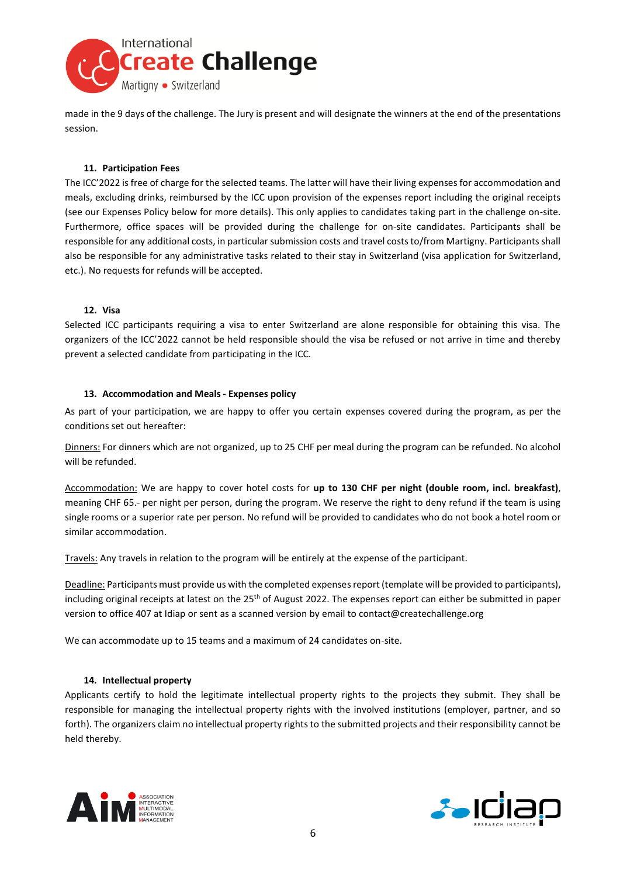

made in the 9 days of the challenge. The Jury is present and will designate the winners at the end of the presentations session.

## <span id="page-5-0"></span>**11. Participation Fees**

The ICC'2022 is free of charge for the selected teams. The latter will have their living expenses for accommodation and meals, excluding drinks, reimbursed by the ICC upon provision of the expenses report including the original receipts (see our Expenses Policy below for more details). This only applies to candidates taking part in the challenge on-site. Furthermore, office spaces will be provided during the challenge for on-site candidates. Participants shall be responsible for any additional costs, in particular submission costs and travel costs to/from Martigny. Participants shall also be responsible for any administrative tasks related to their stay in Switzerland (visa application for Switzerland, etc.). No requests for refunds will be accepted.

#### <span id="page-5-1"></span>**12. Visa**

Selected ICC participants requiring a visa to enter Switzerland are alone responsible for obtaining this visa. The organizers of the ICC'2022 cannot be held responsible should the visa be refused or not arrive in time and thereby prevent a selected candidate from participating in the ICC.

#### <span id="page-5-2"></span>**13. Accommodation and Meals- Expenses policy**

As part of your participation, we are happy to offer you certain expenses covered during the program, as per the conditions set out hereafter:

Dinners: For dinners which are not organized, up to 25 CHF per meal during the program can be refunded. No alcohol will be refunded.

Accommodation: We are happy to cover hotel costs for **up to 130 CHF per night (double room, incl. breakfast)**, meaning CHF 65.- per night per person, during the program. We reserve the right to deny refund if the team is using single rooms or a superior rate per person. No refund will be provided to candidates who do not book a hotel room or similar accommodation.

Travels: Any travels in relation to the program will be entirely at the expense of the participant.

Deadline: Participants must provide us with the completed expenses report (template will be provided to participants), including original receipts at latest on the 25<sup>th</sup> of August 2022. The expenses report can either be submitted in paper version to office 407 at Idiap or sent as a scanned version by email to contact@createchallenge.org

<span id="page-5-3"></span>We can accommodate up to 15 teams and a maximum of 24 candidates on-site.

#### **14. Intellectual property**

Applicants certify to hold the legitimate intellectual property rights to the projects they submit. They shall be responsible for managing the intellectual property rights with the involved institutions (employer, partner, and so forth). The organizers claim no intellectual property rights to the submitted projects and their responsibility cannot be held thereby.